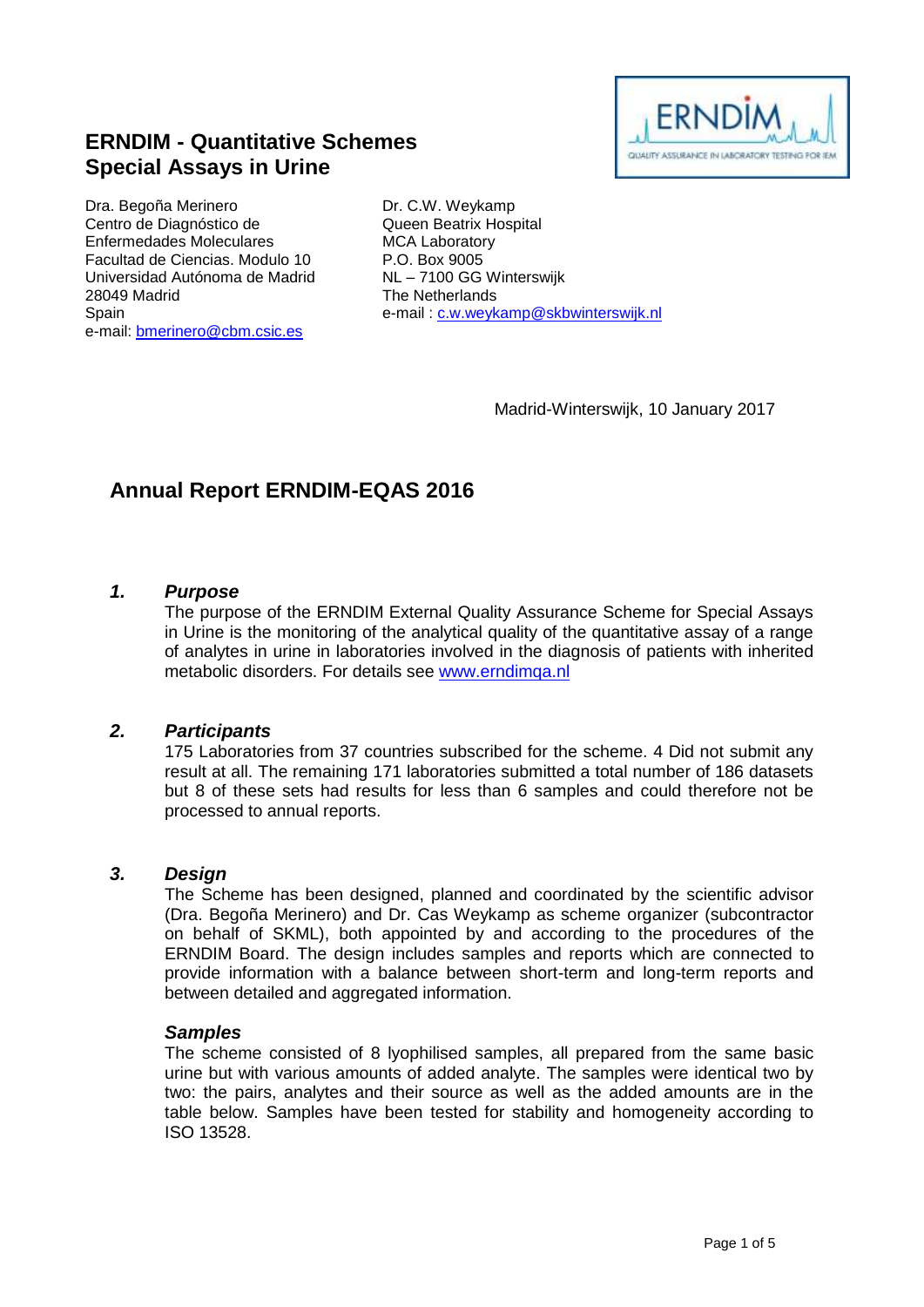

# **ERNDIM - Quantitative Schemes Special Assays in Urine**

Dra. Begoña Merinero Centro de Diagnóstico de Enfermedades Moleculares Facultad de Ciencias. Modulo 10 Universidad Autónoma de Madrid 28049 Madrid **Spain** e-mail: [bmerinero@cbm.csic.es](mailto:bmerinero@cbm.csic.es)

Dr. C.W. Weykamp Queen Beatrix Hospital MCA Laboratory P.O. Box 9005 NL – 7100 GG Winterswijk The Netherlands e-mail : [c.w.weykamp@skbwinterswijk.nl](mailto:c.w.weykamp@skbwinterswijk.nl)

Madrid-Winterswijk, 10 January 2017

# **Annual Report ERNDIM-EQAS 2016**

#### *1. Purpose*

The purpose of the ERNDIM External Quality Assurance Scheme for Special Assays in Urine is the monitoring of the analytical quality of the quantitative assay of a range of analytes in urine in laboratories involved in the diagnosis of patients with inherited metabolic disorders. For details see [www.erndimqa.nl](http://www.erndimqa.nl/)

### *2. Participants*

175 Laboratories from 37 countries subscribed for the scheme. 4 Did not submit any result at all. The remaining 171 laboratories submitted a total number of 186 datasets but 8 of these sets had results for less than 6 samples and could therefore not be processed to annual reports.

#### *3. Design*

The Scheme has been designed, planned and coordinated by the scientific advisor (Dra. Begoña Merinero) and Dr. Cas Weykamp as scheme organizer (subcontractor on behalf of SKML), both appointed by and according to the procedures of the ERNDIM Board. The design includes samples and reports which are connected to provide information with a balance between short-term and long-term reports and between detailed and aggregated information.

#### *Samples*

The scheme consisted of 8 lyophilised samples, all prepared from the same basic urine but with various amounts of added analyte. The samples were identical two by two: the pairs, analytes and their source as well as the added amounts are in the table below. Samples have been tested for stability and homogeneity according to ISO 13528.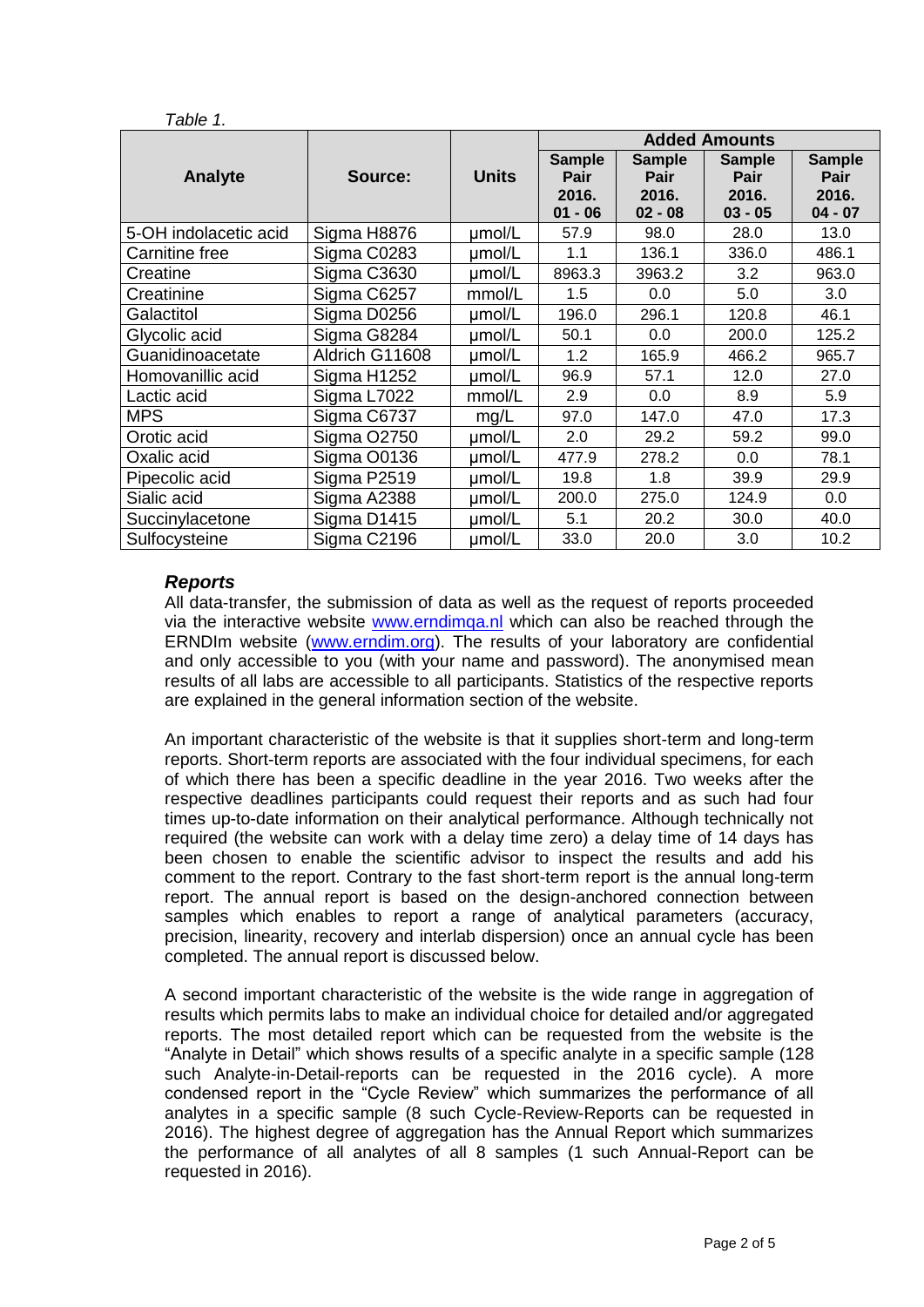|                       | Source:        | <b>Units</b> | <b>Added Amounts</b>                          |                                             |                                                    |                                                    |
|-----------------------|----------------|--------------|-----------------------------------------------|---------------------------------------------|----------------------------------------------------|----------------------------------------------------|
| Analyte               |                |              | <b>Sample</b><br>Pair<br>2016.<br>$-06$<br>01 | <b>Sample</b><br>Pair<br>2016.<br>$02 - 08$ | <b>Sample</b><br><b>Pair</b><br>2016.<br>$03 - 05$ | <b>Sample</b><br><b>Pair</b><br>2016.<br>$04 - 07$ |
| 5-OH indolacetic acid | Sigma H8876    | umol/L       | 57.9                                          | 98.0                                        | 28.0                                               | 13.0                                               |
| Carnitine free        | Sigma C0283    | umol/L       | 1.1                                           | 136.1                                       | 336.0                                              | 486.1                                              |
| Creatine              | Sigma C3630    | umol/L       | 8963.3                                        | 3963.2                                      | 3.2                                                | 963.0                                              |
| Creatinine            | Sigma C6257    | mmol/L       | 1.5                                           | 0.0                                         | 5.0                                                | 3.0                                                |
| Galactitol            | Sigma D0256    | umol/L       | 196.0                                         | 296.1                                       | 120.8                                              | 46.1                                               |
| Glycolic acid         | Sigma G8284    | umol/L       | 50.1                                          | 0.0                                         | 200.0                                              | 125.2                                              |
| Guanidinoacetate      | Aldrich G11608 | umol/L       | 1.2                                           | 165.9                                       | 466.2                                              | 965.7                                              |
| Homovanillic acid     | Sigma H1252    | umol/L       | 96.9                                          | 57.1                                        | 12.0                                               | 27.0                                               |
| Lactic acid           | Sigma L7022    | mmol/L       | 2.9                                           | 0.0                                         | 8.9                                                | 5.9                                                |
| <b>MPS</b>            | Sigma C6737    | mg/L         | 97.0                                          | 147.0                                       | 47.0                                               | 17.3                                               |
| Orotic acid           | Sigma O2750    | umol/L       | 2.0                                           | 29.2                                        | 59.2                                               | 99.0                                               |
| Oxalic acid           | Sigma O0136    | umol/L       | 477.9                                         | 278.2                                       | 0.0                                                | 78.1                                               |
| Pipecolic acid        | Sigma P2519    | umol/L       | 19.8                                          | 1.8                                         | 39.9                                               | 29.9                                               |
| Sialic acid           | Sigma A2388    | umol/L       | 200.0                                         | 275.0                                       | 124.9                                              | 0.0                                                |
| Succinylacetone       | Sigma D1415    | umol/L       | 5.1                                           | 20.2                                        | 30.0                                               | 40.0                                               |
| Sulfocysteine         | Sigma C2196    | µmol/L       | 33.0                                          | 20.0                                        | 3.0                                                | 10.2                                               |

### *Reports*

*Table 1.* 

All data-transfer, the submission of data as well as the request of reports proceeded via the interactive website [www.erndimqa.nl](http://www.erndimqa.nl/) which can also be reached through the ERNDIm website [\(www.erndim.org\)](http://www.erndim.org/). The results of your laboratory are confidential and only accessible to you (with your name and password). The anonymised mean results of all labs are accessible to all participants. Statistics of the respective reports are explained in the general information section of the website.

An important characteristic of the website is that it supplies short-term and long-term reports. Short-term reports are associated with the four individual specimens, for each of which there has been a specific deadline in the year 2016. Two weeks after the respective deadlines participants could request their reports and as such had four times up-to-date information on their analytical performance. Although technically not required (the website can work with a delay time zero) a delay time of 14 days has been chosen to enable the scientific advisor to inspect the results and add his comment to the report. Contrary to the fast short-term report is the annual long-term report. The annual report is based on the design-anchored connection between samples which enables to report a range of analytical parameters (accuracy, precision, linearity, recovery and interlab dispersion) once an annual cycle has been completed. The annual report is discussed below.

A second important characteristic of the website is the wide range in aggregation of results which permits labs to make an individual choice for detailed and/or aggregated reports. The most detailed report which can be requested from the website is the "Analyte in Detail" which shows results of a specific analyte in a specific sample (128 such Analyte-in-Detail-reports can be requested in the 2016 cycle). A more condensed report in the "Cycle Review" which summarizes the performance of all analytes in a specific sample (8 such Cycle-Review-Reports can be requested in 2016). The highest degree of aggregation has the Annual Report which summarizes the performance of all analytes of all 8 samples (1 such Annual-Report can be requested in 2016).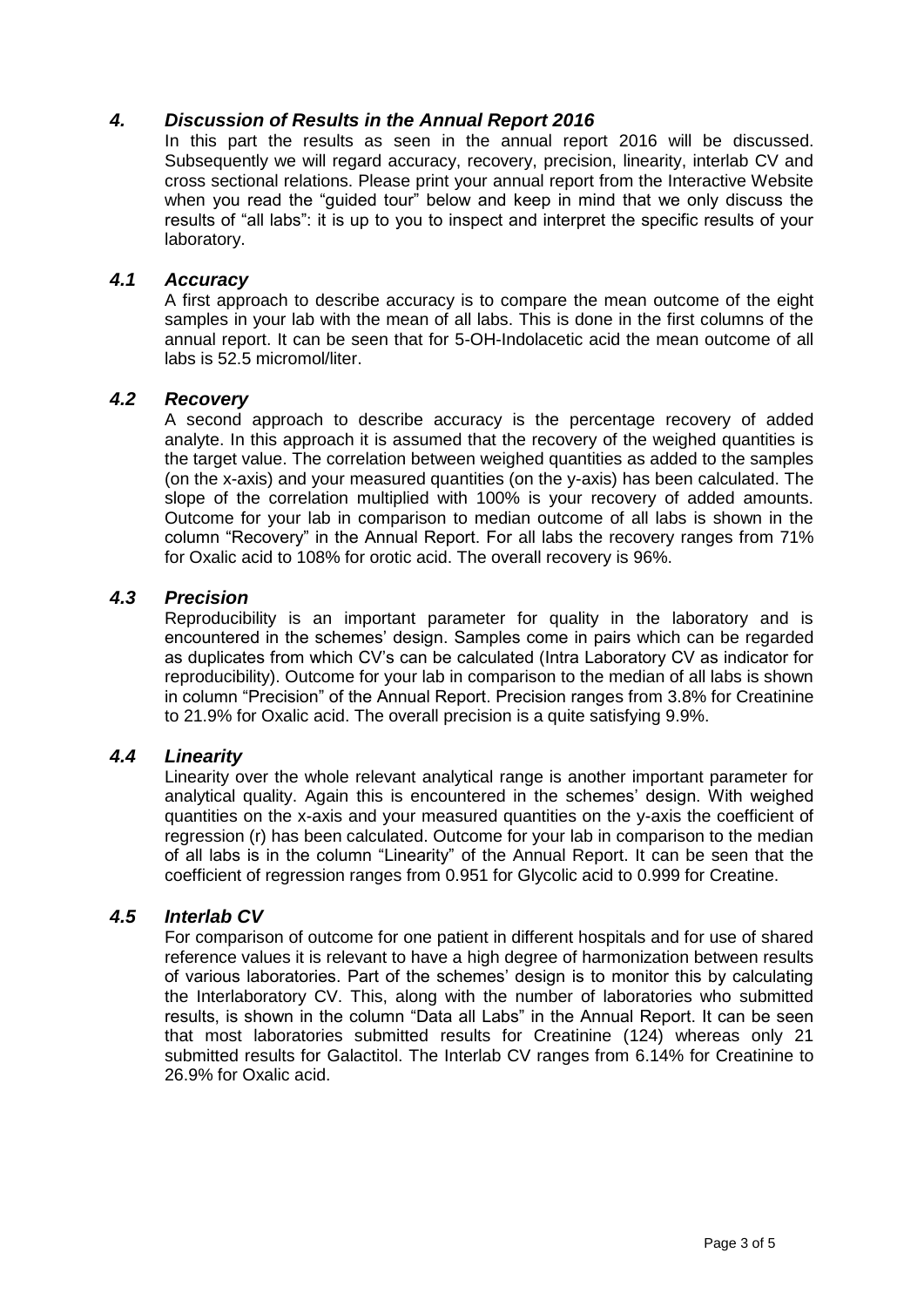### *4. Discussion of Results in the Annual Report 2016*

In this part the results as seen in the annual report 2016 will be discussed. Subsequently we will regard accuracy, recovery, precision, linearity, interlab CV and cross sectional relations. Please print your annual report from the Interactive Website when you read the "quided tour" below and keep in mind that we only discuss the results of "all labs": it is up to you to inspect and interpret the specific results of your laboratory.

#### *4.1 Accuracy*

A first approach to describe accuracy is to compare the mean outcome of the eight samples in your lab with the mean of all labs. This is done in the first columns of the annual report. It can be seen that for 5-OH-Indolacetic acid the mean outcome of all labs is 52.5 micromol/liter.

#### *4.2 Recovery*

A second approach to describe accuracy is the percentage recovery of added analyte. In this approach it is assumed that the recovery of the weighed quantities is the target value. The correlation between weighed quantities as added to the samples (on the x-axis) and your measured quantities (on the y-axis) has been calculated. The slope of the correlation multiplied with 100% is your recovery of added amounts. Outcome for your lab in comparison to median outcome of all labs is shown in the column "Recovery" in the Annual Report. For all labs the recovery ranges from 71% for Oxalic acid to 108% for orotic acid. The overall recovery is 96%.

### *4.3 Precision*

Reproducibility is an important parameter for quality in the laboratory and is encountered in the schemes' design. Samples come in pairs which can be regarded as duplicates from which CV's can be calculated (Intra Laboratory CV as indicator for reproducibility). Outcome for your lab in comparison to the median of all labs is shown in column "Precision" of the Annual Report. Precision ranges from 3.8% for Creatinine to 21.9% for Oxalic acid. The overall precision is a quite satisfying 9.9%.

#### *4.4 Linearity*

Linearity over the whole relevant analytical range is another important parameter for analytical quality. Again this is encountered in the schemes' design. With weighed quantities on the x-axis and your measured quantities on the y-axis the coefficient of regression (r) has been calculated. Outcome for your lab in comparison to the median of all labs is in the column "Linearity" of the Annual Report. It can be seen that the coefficient of regression ranges from 0.951 for Glycolic acid to 0.999 for Creatine.

#### *4.5 Interlab CV*

For comparison of outcome for one patient in different hospitals and for use of shared reference values it is relevant to have a high degree of harmonization between results of various laboratories. Part of the schemes' design is to monitor this by calculating the Interlaboratory CV. This, along with the number of laboratories who submitted results, is shown in the column "Data all Labs" in the Annual Report. It can be seen that most laboratories submitted results for Creatinine (124) whereas only 21 submitted results for Galactitol. The Interlab CV ranges from 6.14% for Creatinine to 26.9% for Oxalic acid.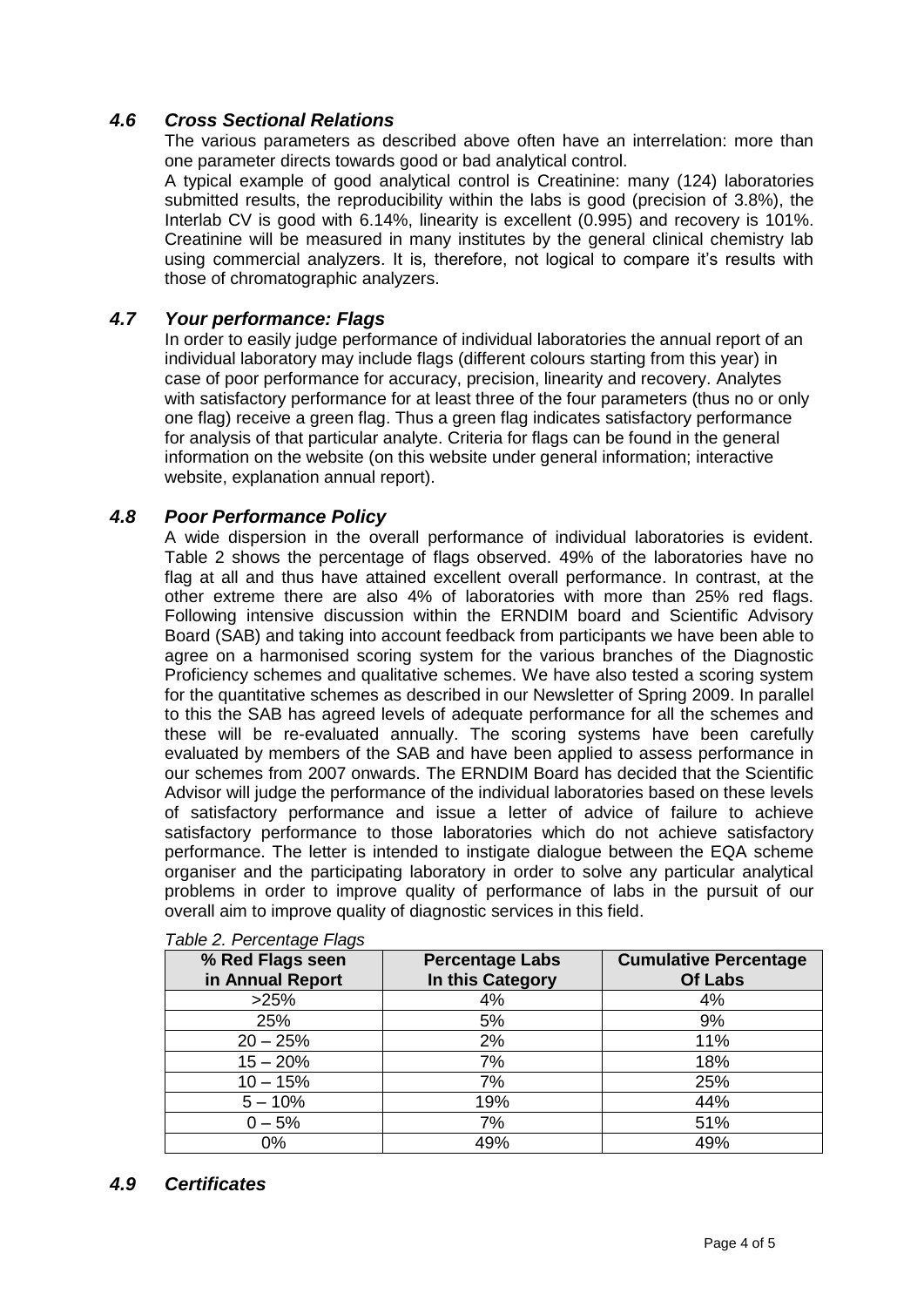# *4.6 Cross Sectional Relations*

The various parameters as described above often have an interrelation: more than one parameter directs towards good or bad analytical control.

A typical example of good analytical control is Creatinine: many (124) laboratories submitted results, the reproducibility within the labs is good (precision of 3.8%), the Interlab CV is good with 6.14%, linearity is excellent (0.995) and recovery is 101%. Creatinine will be measured in many institutes by the general clinical chemistry lab using commercial analyzers. It is, therefore, not logical to compare it's results with those of chromatographic analyzers.

### *4.7 Your performance: Flags*

In order to easily judge performance of individual laboratories the annual report of an individual laboratory may include flags (different colours starting from this year) in case of poor performance for accuracy, precision, linearity and recovery. Analytes with satisfactory performance for at least three of the four parameters (thus no or only one flag) receive a green flag. Thus a green flag indicates satisfactory performance for analysis of that particular analyte. Criteria for flags can be found in the general information on the website (on this website under general information; interactive website, explanation annual report).

### *4.8 Poor Performance Policy*

A wide dispersion in the overall performance of individual laboratories is evident. Table 2 shows the percentage of flags observed. 49% of the laboratories have no flag at all and thus have attained excellent overall performance. In contrast, at the other extreme there are also 4% of laboratories with more than 25% red flags. Following intensive discussion within the ERNDIM board and Scientific Advisory Board (SAB) and taking into account feedback from participants we have been able to agree on a harmonised scoring system for the various branches of the Diagnostic Proficiency schemes and qualitative schemes. We have also tested a scoring system for the quantitative schemes as described in our Newsletter of Spring 2009. In parallel to this the SAB has agreed levels of adequate performance for all the schemes and these will be re-evaluated annually. The scoring systems have been carefully evaluated by members of the SAB and have been applied to assess performance in our schemes from 2007 onwards. The ERNDIM Board has decided that the Scientific Advisor will judge the performance of the individual laboratories based on these levels of satisfactory performance and issue a letter of advice of failure to achieve satisfactory performance to those laboratories which do not achieve satisfactory performance. The letter is intended to instigate dialogue between the EQA scheme organiser and the participating laboratory in order to solve any particular analytical problems in order to improve quality of performance of labs in the pursuit of our overall aim to improve quality of diagnostic services in this field.

| % Red Flags seen<br>in Annual Report | <b>Percentage Labs</b><br>In this Category | <b>Cumulative Percentage</b><br><b>Of Labs</b> |
|--------------------------------------|--------------------------------------------|------------------------------------------------|
| >25%                                 | 4%                                         | 4%                                             |
| 25%                                  | 5%                                         | 9%                                             |
| $20 - 25%$                           | 2%                                         | 11%                                            |
| $15 - 20%$                           | 7%                                         | 18%                                            |
| $10 - 15%$                           | 7%                                         | 25%                                            |
| $5 - 10%$                            | 19%                                        | 44%                                            |
| $0 - 5%$                             | 7%                                         | 51%                                            |
| 0%                                   | 49%                                        | 49%                                            |

*Table 2. Percentage Flags*

# *4.9 Certificates*